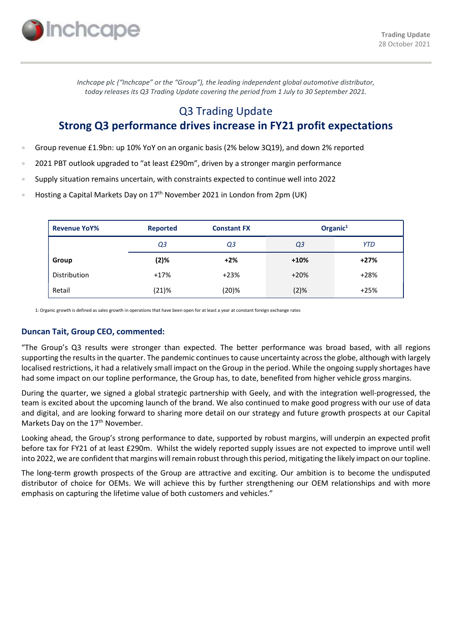

Inchcape plc ("Inchcape" or the "Group"), the leading independent global automotive distributor, today releases its Q3 Trading Update covering the period from 1 July to 30 September 2021.

# Q3 Trading Update Strong Q3 performance drives increase in FY21 profit expectations

- Group revenue £1.9bn: up 10% YoY on an organic basis (2% below 3Q19), and down 2% reported
- 2021 PBT outlook upgraded to "at least £290m", driven by a stronger margin performance
- Supply situation remains uncertain, with constraints expected to continue well into 2022
- Hosting a Capital Markets Day on 17<sup>th</sup> November 2021 in London from 2pm (UK)

| <b>Revenue YoY%</b> | <b>Reported</b> | <b>Constant FX</b> | Organic $1$ |            |
|---------------------|-----------------|--------------------|-------------|------------|
|                     | Q3              | Q3                 | Q3          | <b>YTD</b> |
| Group               | (2)%            | $+2%$              | $+10%$      | $+27%$     |
| Distribution        | $+17%$          | $+23%$             | $+20%$      | $+28%$     |
| Retail              | (21)%           | (20)%              | (2)%        | $+25%$     |

1: Organic growth is defined as sales growth in operations that have been open for at least a year at constant foreign exchange rates

# Duncan Tait, Group CEO, commented:

"The Group's Q3 results were stronger than expected. The better performance was broad based, with all regions supporting the results in the quarter. The pandemic continues to cause uncertainty across the globe, although with largely localised restrictions, it had a relatively small impact on the Group in the period. While the ongoing supply shortages have had some impact on our topline performance, the Group has, to date, benefited from higher vehicle gross margins.

During the quarter, we signed a global strategic partnership with Geely, and with the integration well-progressed, the team is excited about the upcoming launch of the brand. We also continued to make good progress with our use of data and digital, and are looking forward to sharing more detail on our strategy and future growth prospects at our Capital Markets Day on the 17<sup>th</sup> November.

Looking ahead, the Group's strong performance to date, supported by robust margins, will underpin an expected profit before tax for FY21 of at least £290m. Whilst the widely reported supply issues are not expected to improve until well into 2022, we are confident that margins will remain robust through this period, mitigating the likely impact on our topline.

The long-term growth prospects of the Group are attractive and exciting. Our ambition is to become the undisputed distributor of choice for OEMs. We will achieve this by further strengthening our OEM relationships and with more emphasis on capturing the lifetime value of both customers and vehicles."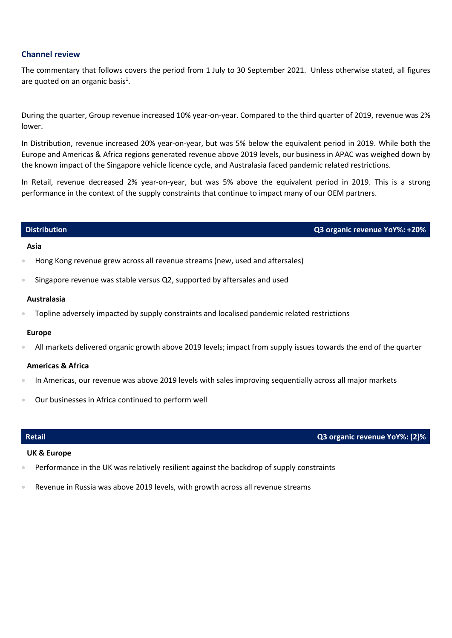# Channel review

The commentary that follows covers the period from 1 July to 30 September 2021. Unless otherwise stated, all figures are quoted on an organic basis<sup>1</sup>.

During the quarter, Group revenue increased 10% year-on-year. Compared to the third quarter of 2019, revenue was 2% lower.

In Distribution, revenue increased 20% year-on-year, but was 5% below the equivalent period in 2019. While both the Europe and Americas & Africa regions generated revenue above 2019 levels, our business in APAC was weighed down by the known impact of the Singapore vehicle licence cycle, and Australasia faced pandemic related restrictions.

In Retail, revenue decreased 2% year-on-year, but was 5% above the equivalent period in 2019. This is a strong performance in the context of the supply constraints that continue to impact many of our OEM partners.

# Distribution Q3 organic revenue YoY%: +20%

### Asia

- Hong Kong revenue grew across all revenue streams (new, used and aftersales)
- Singapore revenue was stable versus Q2, supported by aftersales and used

### Australasia

Topline adversely impacted by supply constraints and localised pandemic related restrictions

### Europe

All markets delivered organic growth above 2019 levels; impact from supply issues towards the end of the quarter

### Americas & Africa

- In Americas, our revenue was above 2019 levels with sales improving sequentially across all major markets
- Our businesses in Africa continued to perform well

# Retail Q3 organic revenue YoY%: (2)%

# UK & Europe

- Performance in the UK was relatively resilient against the backdrop of supply constraints
- Revenue in Russia was above 2019 levels, with growth across all revenue streams